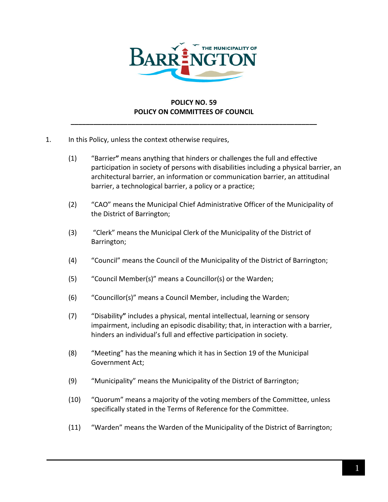

## **POLICY NO. 59 POLICY ON COMMITTEES OF COUNCIL**

**\_\_\_\_\_\_\_\_\_\_\_\_\_\_\_\_\_\_\_\_\_\_\_\_\_\_\_\_\_\_\_\_\_\_\_\_\_\_\_\_\_\_\_\_\_\_\_\_\_\_\_\_\_\_\_\_\_\_\_\_\_\_\_\_\_**

- 1. In this Policy, unless the context otherwise requires,
	- (1) "Barrier**"** means anything that hinders or challenges the full and effective participation in society of persons with disabilities including a physical barrier, an architectural barrier, an information or communication barrier, an attitudinal barrier, a technological barrier, a policy or a practice;
	- (2) "CAO" means the Municipal Chief Administrative Officer of the Municipality of the District of Barrington;
	- (3) "Clerk" means the Municipal Clerk of the Municipality of the District of Barrington;
	- (4) "Council" means the Council of the Municipality of the District of Barrington;
	- (5) "Council Member(s)" means a Councillor(s) or the Warden;
	- (6) "Councillor(s)" means a Council Member, including the Warden;
	- (7) "Disability**"** includes a physical, mental intellectual, learning or sensory impairment, including an episodic disability; that, in interaction with a barrier, hinders an individual's full and effective participation in society.
	- (8) "Meeting" has the meaning which it has in Section 19 of the Municipal Government Act;
	- (9) "Municipality" means the Municipality of the District of Barrington;
	- (10) "Quorum" means a majority of the voting members of the Committee, unless specifically stated in the Terms of Reference for the Committee.
	- (11) "Warden" means the Warden of the Municipality of the District of Barrington;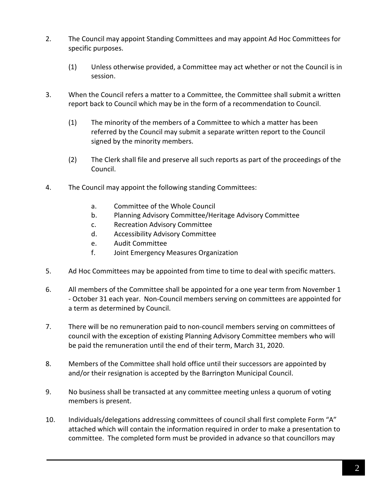- 2. The Council may appoint Standing Committees and may appoint Ad Hoc Committees for specific purposes.
	- (1) Unless otherwise provided, a Committee may act whether or not the Council is in session.
- 3. When the Council refers a matter to a Committee, the Committee shall submit a written report back to Council which may be in the form of a recommendation to Council.
	- (1) The minority of the members of a Committee to which a matter has been referred by the Council may submit a separate written report to the Council signed by the minority members.
	- (2) The Clerk shall file and preserve all such reports as part of the proceedings of the Council.
- 4. The Council may appoint the following standing Committees:
	- a. Committee of the Whole Council
	- b. Planning Advisory Committee/Heritage Advisory Committee
	- c. Recreation Advisory Committee
	- d. Accessibility Advisory Committee
	- e. Audit Committee
	- f. Joint Emergency Measures Organization
- 5. Ad Hoc Committees may be appointed from time to time to deal with specific matters.
- 6. All members of the Committee shall be appointed for a one year term from November 1 - October 31 each year. Non-Council members serving on committees are appointed for a term as determined by Council.
- 7. There will be no remuneration paid to non-council members serving on committees of council with the exception of existing Planning Advisory Committee members who will be paid the remuneration until the end of their term, March 31, 2020.
- 8. Members of the Committee shall hold office until their successors are appointed by and/or their resignation is accepted by the Barrington Municipal Council.
- 9. No business shall be transacted at any committee meeting unless a quorum of voting members is present.
- 10. Individuals/delegations addressing committees of council shall first complete Form "A" attached which will contain the information required in order to make a presentation to committee. The completed form must be provided in advance so that councillors may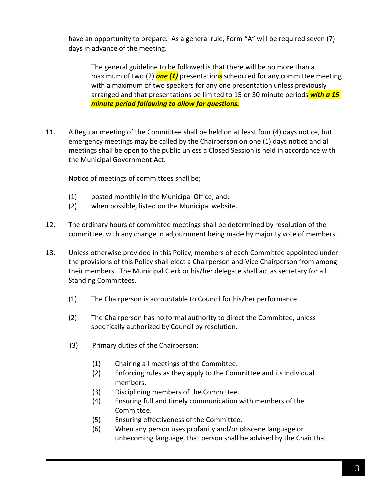have an opportunity to prepare*.* As a general rule, Form "A" will be required seven (7) days in advance of the meeting.

The general guideline to be followed is that there will be no more than a maximum of two (2) *one (1)* presentation**s** scheduled for any committee meeting with a maximum of two speakers for any one presentation unless previously arranged and that presentations be limited to 15 or 30 minute periods *with a 15 minute period following to allow for questions.*

11. A Regular meeting of the Committee shall be held on at least four (4) days notice, but emergency meetings may be called by the Chairperson on one (1) days notice and all meetings shall be open to the public unless a Closed Session is held in accordance with the Municipal Government Act.

Notice of meetings of committees shall be;

- (1) posted monthly in the Municipal Office, and;
- (2) when possible, listed on the Municipal website.
- 12. The ordinary hours of committee meetings shall be determined by resolution of the committee, with any change in adjournment being made by majority vote of members.
- 13. Unless otherwise provided in this Policy, members of each Committee appointed under the provisions of this Policy shall elect a Chairperson and Vice Chairperson from among their members. The Municipal Clerk or his/her delegate shall act as secretary for all Standing Committees.
	- (1) The Chairperson is accountable to Council for his/her performance.
	- (2) The Chairperson has no formal authority to direct the Committee, unless specifically authorized by Council by resolution.
	- (3) Primary duties of the Chairperson:
		- (1) Chairing all meetings of the Committee.
		- (2) Enforcing rules as they apply to the Committee and its individual members.
		- (3) Disciplining members of the Committee.
		- (4) Ensuring full and timely communication with members of the Committee.
		- (5) Ensuring effectiveness of the Committee.
		- (6) When any person uses profanity and/or obscene language or unbecoming language, that person shall be advised by the Chair that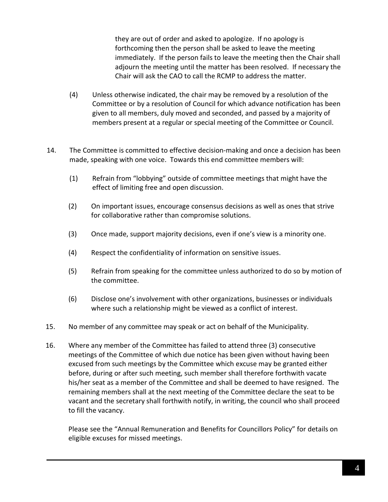they are out of order and asked to apologize. If no apology is forthcoming then the person shall be asked to leave the meeting immediately. If the person fails to leave the meeting then the Chair shall adjourn the meeting until the matter has been resolved. If necessary the Chair will ask the CAO to call the RCMP to address the matter.

- (4) Unless otherwise indicated, the chair may be removed by a resolution of the Committee or by a resolution of Council for which advance notification has been given to all members, duly moved and seconded, and passed by a majority of members present at a regular or special meeting of the Committee or Council.
- 14. The Committee is committed to effective decision-making and once a decision has been made, speaking with one voice. Towards this end committee members will:
	- (1) Refrain from "lobbying" outside of committee meetings that might have the effect of limiting free and open discussion.
	- (2) On important issues, encourage consensus decisions as well as ones that strive for collaborative rather than compromise solutions.
	- (3) Once made, support majority decisions, even if one's view is a minority one.
	- (4) Respect the confidentiality of information on sensitive issues.
	- (5) Refrain from speaking for the committee unless authorized to do so by motion of the committee.
	- (6) Disclose one's involvement with other organizations, businesses or individuals where such a relationship might be viewed as a conflict of interest.
- 15. No member of any committee may speak or act on behalf of the Municipality.
- 16. Where any member of the Committee has failed to attend three (3) consecutive meetings of the Committee of which due notice has been given without having been excused from such meetings by the Committee which excuse may be granted either before, during or after such meeting, such member shall therefore forthwith vacate his/her seat as a member of the Committee and shall be deemed to have resigned. The remaining members shall at the next meeting of the Committee declare the seat to be vacant and the secretary shall forthwith notify, in writing, the council who shall proceed to fill the vacancy.

Please see the "Annual Remuneration and Benefits for Councillors Policy" for details on eligible excuses for missed meetings.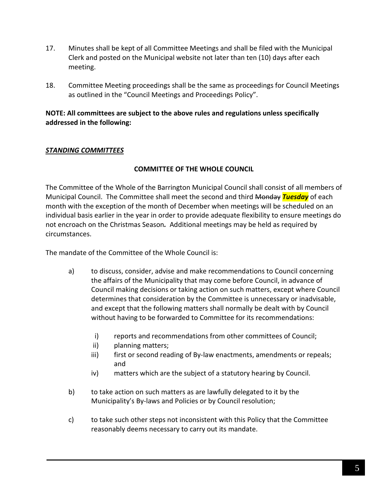- 17. Minutes shall be kept of all Committee Meetings and shall be filed with the Municipal Clerk and posted on the Municipal website not later than ten (10) days after each meeting.
- 18. Committee Meeting proceedings shall be the same as proceedings for Council Meetings as outlined in the "Council Meetings and Proceedings Policy".

## **NOTE: All committees are subject to the above rules and regulations unless specifically addressed in the following:**

# *STANDING COMMITTEES*

### **COMMITTEE OF THE WHOLE COUNCIL**

The Committee of the Whole of the Barrington Municipal Council shall consist of all members of Municipal Council. The Committee shall meet the second and third Monday *Tuesday* of each month with the exception of the month of December when meetings will be scheduled on an individual basis earlier in the year in order to provide adequate flexibility to ensure meetings do not encroach on the Christmas Season*.* Additional meetings may be held as required by circumstances.

The mandate of the Committee of the Whole Council is:

- a) to discuss, consider, advise and make recommendations to Council concerning the affairs of the Municipality that may come before Council, in advance of Council making decisions or taking action on such matters, except where Council determines that consideration by the Committee is unnecessary or inadvisable, and except that the following matters shall normally be dealt with by Council without having to be forwarded to Committee for its recommendations:
	- i) reports and recommendations from other committees of Council;
	- ii) planning matters;
	- iii) first or second reading of By-law enactments, amendments or repeals; and
	- iv) matters which are the subject of a statutory hearing by Council.
- b) to take action on such matters as are lawfully delegated to it by the Municipality's By-laws and Policies or by Council resolution;
- c) to take such other steps not inconsistent with this Policy that the Committee reasonably deems necessary to carry out its mandate.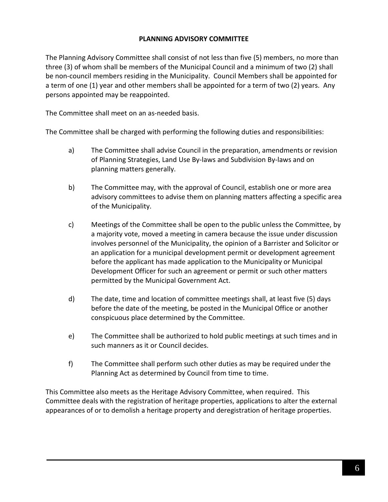### **PLANNING ADVISORY COMMITTEE**

The Planning Advisory Committee shall consist of not less than five (5) members, no more than three (3) of whom shall be members of the Municipal Council and a minimum of two (2) shall be non-council members residing in the Municipality. Council Members shall be appointed for a term of one (1) year and other members shall be appointed for a term of two (2) years. Any persons appointed may be reappointed.

The Committee shall meet on an as-needed basis.

The Committee shall be charged with performing the following duties and responsibilities:

- a) The Committee shall advise Council in the preparation, amendments or revision of Planning Strategies, Land Use By-laws and Subdivision By-laws and on planning matters generally.
- b) The Committee may, with the approval of Council, establish one or more area advisory committees to advise them on planning matters affecting a specific area of the Municipality.
- c) Meetings of the Committee shall be open to the public unless the Committee, by a majority vote, moved a meeting in camera because the issue under discussion involves personnel of the Municipality, the opinion of a Barrister and Solicitor or an application for a municipal development permit or development agreement before the applicant has made application to the Municipality or Municipal Development Officer for such an agreement or permit or such other matters permitted by the Municipal Government Act.
- d) The date, time and location of committee meetings shall, at least five (5) days before the date of the meeting, be posted in the Municipal Office or another conspicuous place determined by the Committee.
- e) The Committee shall be authorized to hold public meetings at such times and in such manners as it or Council decides.
- f) The Committee shall perform such other duties as may be required under the Planning Act as determined by Council from time to time.

This Committee also meets as the Heritage Advisory Committee, when required. This Committee deals with the registration of heritage properties, applications to alter the external appearances of or to demolish a heritage property and deregistration of heritage properties.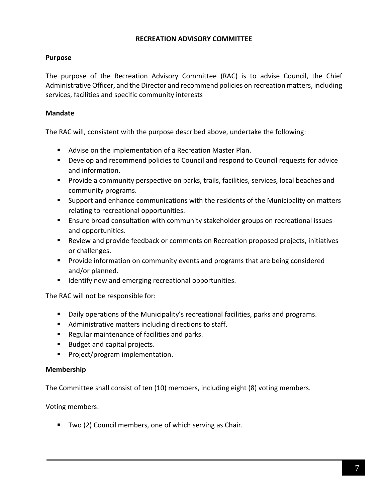### **RECREATION ADVISORY COMMITTEE**

## **Purpose**

The purpose of the Recreation Advisory Committee (RAC) is to advise Council, the Chief Administrative Officer, and the Director and recommend policies on recreation matters, including services, facilities and specific community interests

# **Mandate**

The RAC will, consistent with the purpose described above, undertake the following:

- Advise on the implementation of a Recreation Master Plan.
- Develop and recommend policies to Council and respond to Council requests for advice and information.
- **Provide a community perspective on parks, trails, facilities, services, local beaches and** community programs.
- Support and enhance communications with the residents of the Municipality on matters relating to recreational opportunities.
- Ensure broad consultation with community stakeholder groups on recreational issues and opportunities.
- Review and provide feedback or comments on Recreation proposed projects, initiatives or challenges.
- **Provide information on community events and programs that are being considered** and/or planned.
- **If Identify new and emerging recreational opportunities.**

The RAC will not be responsible for:

- Daily operations of the Municipality's recreational facilities, parks and programs.
- Administrative matters including directions to staff.
- **Regular maintenance of facilities and parks.**
- **Budget and capital projects.**
- Project/program implementation.

### **Membership**

The Committee shall consist of ten (10) members, including eight (8) voting members.

Voting members:

**Two (2) Council members, one of which serving as Chair.**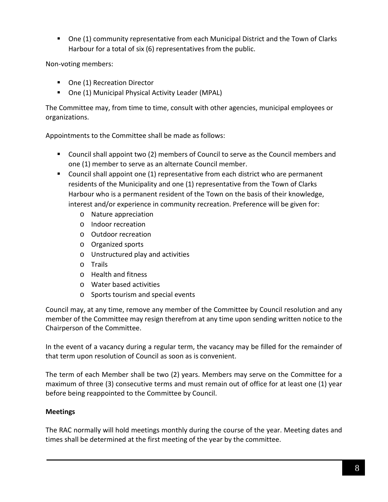One (1) community representative from each Municipal District and the Town of Clarks Harbour for a total of six (6) representatives from the public.

Non-voting members:

- One (1) Recreation Director
- One (1) Municipal Physical Activity Leader (MPAL)

The Committee may, from time to time, consult with other agencies, municipal employees or organizations.

Appointments to the Committee shall be made as follows:

- Council shall appoint two (2) members of Council to serve as the Council members and one (1) member to serve as an alternate Council member.
- Council shall appoint one (1) representative from each district who are permanent residents of the Municipality and one (1) representative from the Town of Clarks Harbour who is a permanent resident of the Town on the basis of their knowledge, interest and/or experience in community recreation. Preference will be given for:
	- o Nature appreciation
	- o Indoor recreation
	- o Outdoor recreation
	- o Organized sports
	- o Unstructured play and activities
	- o Trails
	- o Health and fitness
	- o Water based activities
	- o Sports tourism and special events

Council may, at any time, remove any member of the Committee by Council resolution and any member of the Committee may resign therefrom at any time upon sending written notice to the Chairperson of the Committee.

In the event of a vacancy during a regular term, the vacancy may be filled for the remainder of that term upon resolution of Council as soon as is convenient.

The term of each Member shall be two (2) years. Members may serve on the Committee for a maximum of three (3) consecutive terms and must remain out of office for at least one (1) year before being reappointed to the Committee by Council.

### **Meetings**

The RAC normally will hold meetings monthly during the course of the year. Meeting dates and times shall be determined at the first meeting of the year by the committee.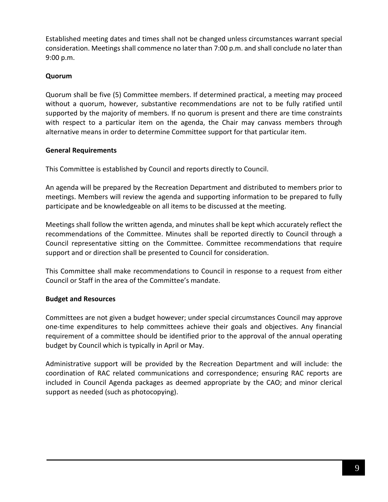Established meeting dates and times shall not be changed unless circumstances warrant special consideration. Meetings shall commence no later than 7:00 p.m. and shall conclude no later than 9:00 p.m.

# **Quorum**

Quorum shall be five (5) Committee members. If determined practical, a meeting may proceed without a quorum, however, substantive recommendations are not to be fully ratified until supported by the majority of members. If no quorum is present and there are time constraints with respect to a particular item on the agenda, the Chair may canvass members through alternative means in order to determine Committee support for that particular item.

### **General Requirements**

This Committee is established by Council and reports directly to Council.

An agenda will be prepared by the Recreation Department and distributed to members prior to meetings. Members will review the agenda and supporting information to be prepared to fully participate and be knowledgeable on all items to be discussed at the meeting.

Meetings shall follow the written agenda, and minutes shall be kept which accurately reflect the recommendations of the Committee. Minutes shall be reported directly to Council through a Council representative sitting on the Committee. Committee recommendations that require support and or direction shall be presented to Council for consideration.

This Committee shall make recommendations to Council in response to a request from either Council or Staff in the area of the Committee's mandate.

### **Budget and Resources**

Committees are not given a budget however; under special circumstances Council may approve one-time expenditures to help committees achieve their goals and objectives. Any financial requirement of a committee should be identified prior to the approval of the annual operating budget by Council which is typically in April or May.

Administrative support will be provided by the Recreation Department and will include: the coordination of RAC related communications and correspondence; ensuring RAC reports are included in Council Agenda packages as deemed appropriate by the CAO; and minor clerical support as needed (such as photocopying).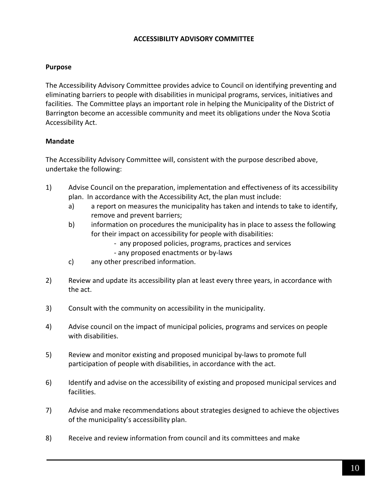### **ACCESSIBILITY ADVISORY COMMITTEE**

#### **Purpose**

The Accessibility Advisory Committee provides advice to Council on identifying preventing and eliminating barriers to people with disabilities in municipal programs, services, initiatives and facilities. The Committee plays an important role in helping the Municipality of the District of Barrington become an accessible community and meet its obligations under the Nova Scotia Accessibility Act.

### **Mandate**

The Accessibility Advisory Committee will, consistent with the purpose described above, undertake the following:

- 1) Advise Council on the preparation, implementation and effectiveness of its accessibility plan. In accordance with the Accessibility Act, the plan must include:
	- a) a report on measures the municipality has taken and intends to take to identify, remove and prevent barriers;
	- b) information on procedures the municipality has in place to assess the following for their impact on accessibility for people with disabilities:
		- any proposed policies, programs, practices and services
		- any proposed enactments or by-laws
	- c) any other prescribed information.
- 2) Review and update its accessibility plan at least every three years, in accordance with the act.
- 3) Consult with the community on accessibility in the municipality.
- 4) Advise council on the impact of municipal policies, programs and services on people with disabilities.
- 5) Review and monitor existing and proposed municipal by-laws to promote full participation of people with disabilities, in accordance with the act.
- 6) Identify and advise on the accessibility of existing and proposed municipal services and facilities.
- 7) Advise and make recommendations about strategies designed to achieve the objectives of the municipality's accessibility plan.
- 8) Receive and review information from council and its committees and make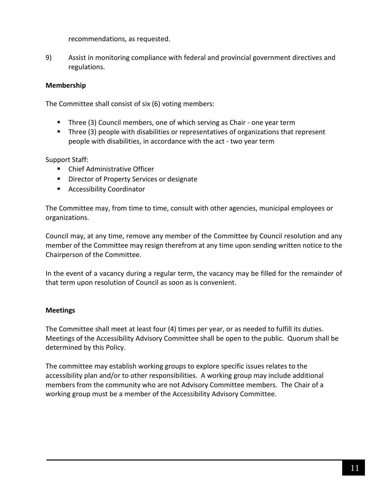recommendations, as requested.

9) Assist in monitoring compliance with federal and provincial government directives and regulations.

# **Membership**

The Committee shall consist of six (6) voting members:

- Three (3) Council members, one of which serving as Chair one year term
- **Three (3) people with disabilities or representatives of organizations that represent** people with disabilities, in accordance with the act - two year term

Support Staff:

- Chief Administrative Officer
- **Director of Property Services or designate**
- **Accessibility Coordinator**

The Committee may, from time to time, consult with other agencies, municipal employees or organizations.

Council may, at any time, remove any member of the Committee by Council resolution and any member of the Committee may resign therefrom at any time upon sending written notice to the Chairperson of the Committee.

In the event of a vacancy during a regular term, the vacancy may be filled for the remainder of that term upon resolution of Council as soon as is convenient.

# **Meetings**

The Committee shall meet at least four (4) times per year, or as needed to fulfill its duties. Meetings of the Accessibility Advisory Committee shall be open to the public. Quorum shall be determined by this Policy.

The committee may establish working groups to explore specific issues relates to the accessibility plan and/or to other responsibilities. A working group may include additional members from the community who are not Advisory Committee members. The Chair of a working group must be a member of the Accessibility Advisory Committee.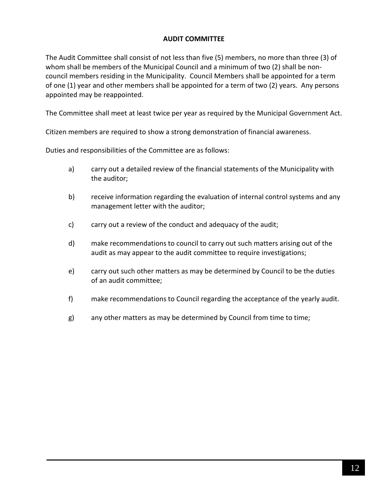## **AUDIT COMMITTEE**

The Audit Committee shall consist of not less than five (5) members, no more than three (3) of whom shall be members of the Municipal Council and a minimum of two (2) shall be noncouncil members residing in the Municipality. Council Members shall be appointed for a term of one (1) year and other members shall be appointed for a term of two (2) years. Any persons appointed may be reappointed.

The Committee shall meet at least twice per year as required by the Municipal Government Act.

Citizen members are required to show a strong demonstration of financial awareness.

Duties and responsibilities of the Committee are as follows:

- a) carry out a detailed review of the financial statements of the Municipality with the auditor;
- b) receive information regarding the evaluation of internal control systems and any management letter with the auditor;
- c) carry out a review of the conduct and adequacy of the audit;
- d) make recommendations to council to carry out such matters arising out of the audit as may appear to the audit committee to require investigations;
- e) carry out such other matters as may be determined by Council to be the duties of an audit committee;
- f) make recommendations to Council regarding the acceptance of the yearly audit.
- g) any other matters as may be determined by Council from time to time;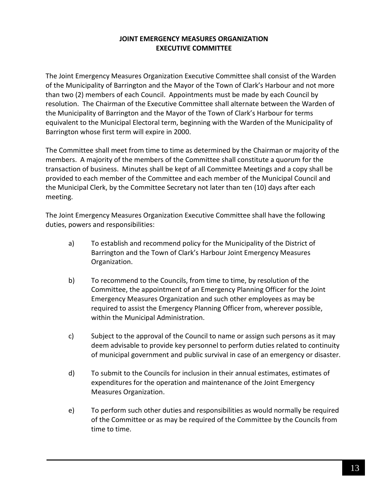# **JOINT EMERGENCY MEASURES ORGANIZATION EXECUTIVE COMMITTEE**

The Joint Emergency Measures Organization Executive Committee shall consist of the Warden of the Municipality of Barrington and the Mayor of the Town of Clark's Harbour and not more than two (2) members of each Council. Appointments must be made by each Council by resolution. The Chairman of the Executive Committee shall alternate between the Warden of the Municipality of Barrington and the Mayor of the Town of Clark's Harbour for terms equivalent to the Municipal Electoral term, beginning with the Warden of the Municipality of Barrington whose first term will expire in 2000.

The Committee shall meet from time to time as determined by the Chairman or majority of the members. A majority of the members of the Committee shall constitute a quorum for the transaction of business. Minutes shall be kept of all Committee Meetings and a copy shall be provided to each member of the Committee and each member of the Municipal Council and the Municipal Clerk, by the Committee Secretary not later than ten (10) days after each meeting.

The Joint Emergency Measures Organization Executive Committee shall have the following duties, powers and responsibilities:

- a) To establish and recommend policy for the Municipality of the District of Barrington and the Town of Clark's Harbour Joint Emergency Measures Organization.
- b) To recommend to the Councils, from time to time, by resolution of the Committee, the appointment of an Emergency Planning Officer for the Joint Emergency Measures Organization and such other employees as may be required to assist the Emergency Planning Officer from, wherever possible, within the Municipal Administration.
- c) Subject to the approval of the Council to name or assign such persons as it may deem advisable to provide key personnel to perform duties related to continuity of municipal government and public survival in case of an emergency or disaster.
- d) To submit to the Councils for inclusion in their annual estimates, estimates of expenditures for the operation and maintenance of the Joint Emergency Measures Organization.
- e) To perform such other duties and responsibilities as would normally be required of the Committee or as may be required of the Committee by the Councils from time to time.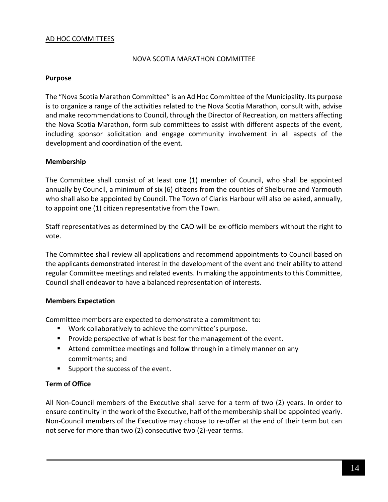### AD HOC COMMITTEES

#### NOVA SCOTIA MARATHON COMMITTEE

#### **Purpose**

The "Nova Scotia Marathon Committee" is an Ad Hoc Committee of the Municipality. Its purpose is to organize a range of the activities related to the Nova Scotia Marathon, consult with, advise and make recommendations to Council, through the Director of Recreation, on matters affecting the Nova Scotia Marathon, form sub committees to assist with different aspects of the event, including sponsor solicitation and engage community involvement in all aspects of the development and coordination of the event.

#### **Membership**

The Committee shall consist of at least one (1) member of Council, who shall be appointed annually by Council, a minimum of six (6) citizens from the counties of Shelburne and Yarmouth who shall also be appointed by Council. The Town of Clarks Harbour will also be asked, annually, to appoint one (1) citizen representative from the Town.

Staff representatives as determined by the CAO will be ex-officio members without the right to vote.

The Committee shall review all applications and recommend appointments to Council based on the applicants demonstrated interest in the development of the event and their ability to attend regular Committee meetings and related events. In making the appointments to this Committee, Council shall endeavor to have a balanced representation of interests.

#### **Members Expectation**

Committee members are expected to demonstrate a commitment to:

- Work collaboratively to achieve the committee's purpose.
- **Provide perspective of what is best for the management of the event.**
- Attend committee meetings and follow through in a timely manner on any commitments; and
- **Support the success of the event.**

#### **Term of Office**

All Non-Council members of the Executive shall serve for a term of two (2) years. In order to ensure continuity in the work of the Executive, half of the membership shall be appointed yearly. Non-Council members of the Executive may choose to re-offer at the end of their term but can not serve for more than two (2) consecutive two (2)-year terms.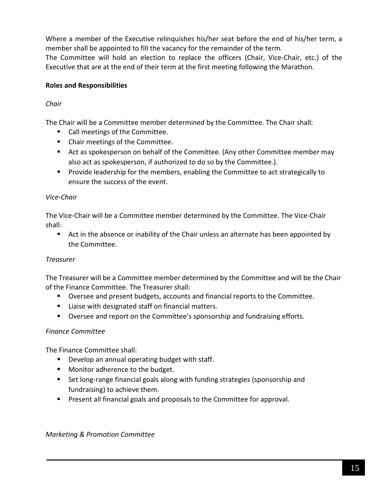Where a member of the Executive relinquishes his/her seat before the end of his/her term, a member shall be appointed to fill the vacancy for the remainder of the term.

The Committee will hold an election to replace the officers (Chair, Vice-Chair, etc.) of the Executive that are at the end of their term at the first meeting following the Marathon.

# **Roles and Responsibilities**

# *Chair*

The Chair will be a Committee member determined by the Committee. The Chair shall:

- **Call meetings of the Committee.**
- Chair meetings of the Committee.
- Act as spokesperson on behalf of the Committee. (Any other Committee member may also act as spokesperson, if authorized to do so by the Committee.).
- Provide leadership for the members, enabling the Committee to act strategically to ensure the success of the event.

### *Vice-Chair*

The Vice-Chair will be a Committee member determined by the Committee. The Vice-Chair shall:

 Act in the absence or inability of the Chair unless an alternate has been appointed by the Committee.

# *Treasurer*

The Treasurer will be a Committee member determined by the Committee and will be the Chair of the Finance Committee. The Treasurer shall:

- Oversee and present budgets, accounts and financial reports to the Committee.
- **E** Liaise with designated staff on financial matters.
- Oversee and report on the Committee's sponsorship and fundraising efforts.

### *Finance Committee*

The Finance Committee shall:

- **Develop an annual operating budget with staff.**
- **Monitor adherence to the budget.**
- Set long-range financial goals along with funding strategies (sponsorship and fundraising) to achieve them.
- **Present all financial goals and proposals to the Committee for approval.**

### *Marketing & Promotion Committee*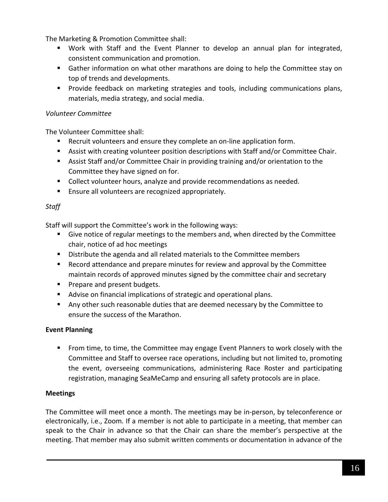The Marketing & Promotion Committee shall:

- Work with Staff and the Event Planner to develop an annual plan for integrated, consistent communication and promotion.
- **Gather information on what other marathons are doing to help the Committee stay on** top of trends and developments.
- **Provide feedback on marketing strategies and tools, including communications plans,** materials, media strategy, and social media.

# *Volunteer Committee*

The Volunteer Committee shall:

- Recruit volunteers and ensure they complete an on-line application form.
- **Assist with creating volunteer position descriptions with Staff and/or Committee Chair.**
- Assist Staff and/or Committee Chair in providing training and/or orientation to the Committee they have signed on for.
- Collect volunteer hours, analyze and provide recommendations as needed.
- **Ensure all volunteers are recognized appropriately.**

# *Staff*

Staff will support the Committee's work in the following ways:

- Give notice of regular meetings to the members and, when directed by the Committee chair, notice of ad hoc meetings
- **Distribute the agenda and all related materials to the Committee members**
- Record attendance and prepare minutes for review and approval by the Committee maintain records of approved minutes signed by the committee chair and secretary
- **Prepare and present budgets.**
- Advise on financial implications of strategic and operational plans.
- Any other such reasonable duties that are deemed necessary by the Committee to ensure the success of the Marathon.

# **Event Planning**

**From time, to time, the Committee may engage Event Planners to work closely with the** Committee and Staff to oversee race operations, including but not limited to, promoting the event, overseeing communications, administering Race Roster and participating registration, managing SeaMeCamp and ensuring all safety protocols are in place.

### **Meetings**

The Committee will meet once a month. The meetings may be in-person, by teleconference or electronically, i.e., Zoom. If a member is not able to participate in a meeting, that member can speak to the Chair in advance so that the Chair can share the member's perspective at the meeting. That member may also submit written comments or documentation in advance of the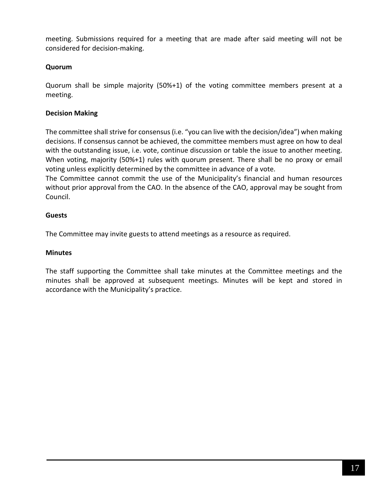meeting. Submissions required for a meeting that are made after said meeting will not be considered for decision-making.

# **Quorum**

Quorum shall be simple majority (50%+1) of the voting committee members present at a meeting.

# **Decision Making**

The committee shall strive for consensus (i.e. "you can live with the decision/idea") when making decisions. If consensus cannot be achieved, the committee members must agree on how to deal with the outstanding issue, i.e. vote, continue discussion or table the issue to another meeting. When voting, majority (50%+1) rules with quorum present. There shall be no proxy or email voting unless explicitly determined by the committee in advance of a vote.

The Committee cannot commit the use of the Municipality's financial and human resources without prior approval from the CAO. In the absence of the CAO, approval may be sought from Council.

# **Guests**

The Committee may invite guests to attend meetings as a resource as required.

## **Minutes**

The staff supporting the Committee shall take minutes at the Committee meetings and the minutes shall be approved at subsequent meetings. Minutes will be kept and stored in accordance with the Municipality's practice.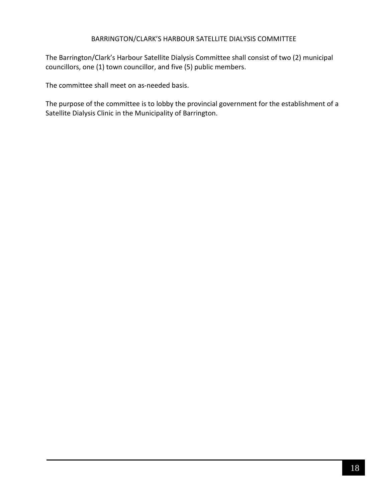### BARRINGTON/CLARK'S HARBOUR SATELLITE DIALYSIS COMMITTEE

The Barrington/Clark's Harbour Satellite Dialysis Committee shall consist of two (2) municipal councillors, one (1) town councillor, and five (5) public members.

The committee shall meet on as-needed basis.

The purpose of the committee is to lobby the provincial government for the establishment of a Satellite Dialysis Clinic in the Municipality of Barrington.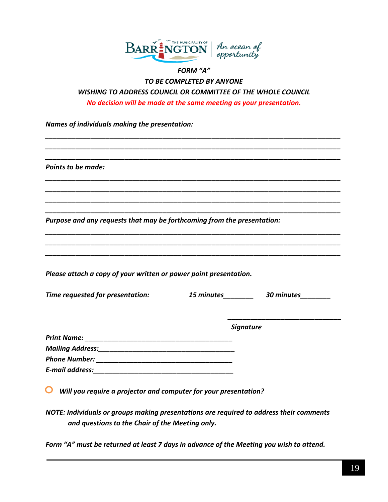

# *FORM "A" TO BE COMPLETED BY ANYONE WISHING TO ADDRESS COUNCIL OR COMMITTEE OF THE WHOLE COUNCIL No decision will be made at the same meeting as your presentation.*

*\_\_\_\_\_\_\_\_\_\_\_\_\_\_\_\_\_\_\_\_\_\_\_\_\_\_\_\_\_\_\_\_\_\_\_\_\_\_\_\_\_\_\_\_\_\_\_\_\_\_\_\_\_\_\_\_\_\_\_\_\_\_\_\_\_\_\_\_\_\_\_\_\_\_\_\_\_\_ \_\_\_\_\_\_\_\_\_\_\_\_\_\_\_\_\_\_\_\_\_\_\_\_\_\_\_\_\_\_\_\_\_\_\_\_\_\_\_\_\_\_\_\_\_\_\_\_\_\_\_\_\_\_\_\_\_\_\_\_\_\_\_\_\_\_\_\_\_\_\_\_\_\_\_\_\_\_ \_\_\_\_\_\_\_\_\_\_\_\_\_\_\_\_\_\_\_\_\_\_\_\_\_\_\_\_\_\_\_\_\_\_\_\_\_\_\_\_\_\_\_\_\_\_\_\_\_\_\_\_\_\_\_\_\_\_\_\_\_\_\_\_\_\_\_\_\_\_\_\_\_\_\_\_\_\_*

*\_\_\_\_\_\_\_\_\_\_\_\_\_\_\_\_\_\_\_\_\_\_\_\_\_\_\_\_\_\_\_\_\_\_\_\_\_\_\_\_\_\_\_\_\_\_\_\_\_\_\_\_\_\_\_\_\_\_\_\_\_\_\_\_\_\_\_\_\_\_\_\_\_\_\_\_\_\_ \_\_\_\_\_\_\_\_\_\_\_\_\_\_\_\_\_\_\_\_\_\_\_\_\_\_\_\_\_\_\_\_\_\_\_\_\_\_\_\_\_\_\_\_\_\_\_\_\_\_\_\_\_\_\_\_\_\_\_\_\_\_\_\_\_\_\_\_\_\_\_\_\_\_\_\_\_\_ \_\_\_\_\_\_\_\_\_\_\_\_\_\_\_\_\_\_\_\_\_\_\_\_\_\_\_\_\_\_\_\_\_\_\_\_\_\_\_\_\_\_\_\_\_\_\_\_\_\_\_\_\_\_\_\_\_\_\_\_\_\_\_\_\_\_\_\_\_\_\_\_\_\_\_\_\_\_ \_\_\_\_\_\_\_\_\_\_\_\_\_\_\_\_\_\_\_\_\_\_\_\_\_\_\_\_\_\_\_\_\_\_\_\_\_\_\_\_\_\_\_\_\_\_\_\_\_\_\_\_\_\_\_\_\_\_\_\_\_\_\_\_\_\_\_\_\_\_\_\_\_\_\_\_\_\_*

*\_\_\_\_\_\_\_\_\_\_\_\_\_\_\_\_\_\_\_\_\_\_\_\_\_\_\_\_\_\_\_\_\_\_\_\_\_\_\_\_\_\_\_\_\_\_\_\_\_\_\_\_\_\_\_\_\_\_\_\_\_\_\_\_\_\_\_\_\_\_\_\_\_\_\_\_\_\_ \_\_\_\_\_\_\_\_\_\_\_\_\_\_\_\_\_\_\_\_\_\_\_\_\_\_\_\_\_\_\_\_\_\_\_\_\_\_\_\_\_\_\_\_\_\_\_\_\_\_\_\_\_\_\_\_\_\_\_\_\_\_\_\_\_\_\_\_\_\_\_\_\_\_\_\_\_\_ \_\_\_\_\_\_\_\_\_\_\_\_\_\_\_\_\_\_\_\_\_\_\_\_\_\_\_\_\_\_\_\_\_\_\_\_\_\_\_\_\_\_\_\_\_\_\_\_\_\_\_\_\_\_\_\_\_\_\_\_\_\_\_\_\_\_\_\_\_\_\_\_\_\_\_\_\_\_*

*Names of individuals making the presentation:*

*Points to be made:*

*Purpose and any requests that may be forthcoming from the presentation:*

*Please attach a copy of your written or power point presentation.*

| Time requested for presentation: | 15 minutes<br>30 minutes |  |
|----------------------------------|--------------------------|--|
|                                  |                          |  |
|                                  | <b>Signature</b>         |  |
| <b>Print Name:</b>               |                          |  |
| <b>Mailing Address:</b>          |                          |  |
| <b>Phone Number:</b>             |                          |  |
| E-mail address:                  |                          |  |
|                                  |                          |  |

 *Will you require a projector and computer for your presentation?*

*NOTE: Individuals or groups making presentations are required to address their comments and questions to the Chair of the Meeting only.* 

*Form "A" must be returned at least 7 days in advance of the Meeting you wish to attend.*